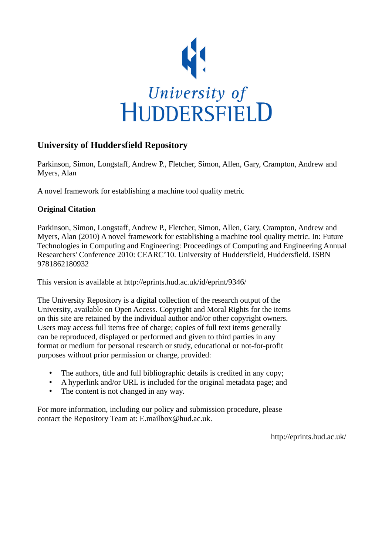

# **University of Huddersfield Repository**

Parkinson, Simon, Longstaff, Andrew P., Fletcher, Simon, Allen, Gary, Crampton, Andrew and Myers, Alan

A novel framework for establishing a machine tool quality metric

## **Original Citation**

Parkinson, Simon, Longstaff, Andrew P., Fletcher, Simon, Allen, Gary, Crampton, Andrew and Myers, Alan (2010) A novel framework for establishing a machine tool quality metric. In: Future Technologies in Computing and Engineering: Proceedings of Computing and Engineering Annual Researchers' Conference 2010: CEARC'10. University of Huddersfield, Huddersfield. ISBN 9781862180932

This version is available at http://eprints.hud.ac.uk/id/eprint/9346/

The University Repository is a digital collection of the research output of the University, available on Open Access. Copyright and Moral Rights for the items on this site are retained by the individual author and/or other copyright owners. Users may access full items free of charge; copies of full text items generally can be reproduced, displayed or performed and given to third parties in any format or medium for personal research or study, educational or not-for-profit purposes without prior permission or charge, provided:

- The authors, title and full bibliographic details is credited in any copy;
- A hyperlink and/or URL is included for the original metadata page; and
- The content is not changed in any way.

For more information, including our policy and submission procedure, please contact the Repository Team at: E.mailbox@hud.ac.uk.

http://eprints.hud.ac.uk/